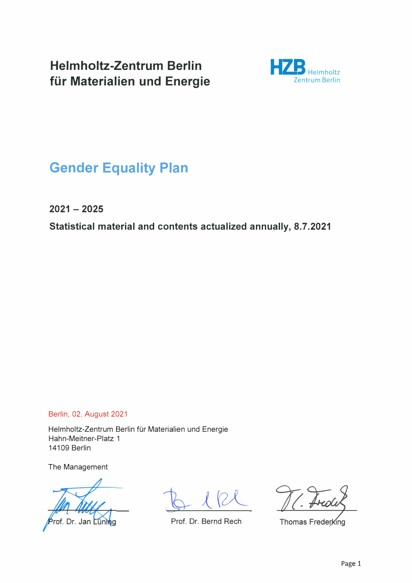**Helmholtz-Zentrum Berlin für Materialien und Energie** 



# **Gender Equality Plan**

**2021 - 2025** 

**Statistical material and contents actualized annually, 8.7.2021** 

Berlin, 02. August 2021

Helmholtz-Zentrum Berlin für Materialien und Energie Hahn-Meitner-Platz 1 14109 Berlin

The Management

of. Dr. Jan Lü

Prof. Dr. Bernd Rech

Thomas Frederking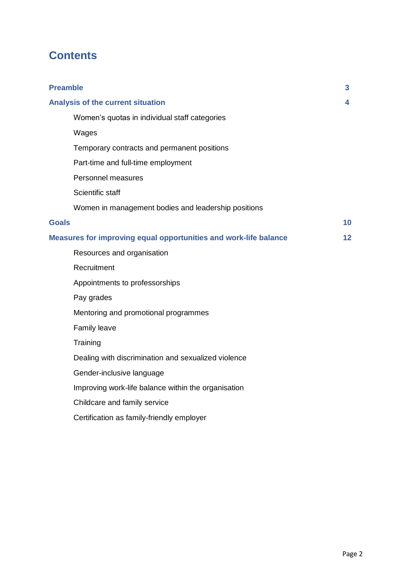# **Contents**

| <b>Preamble</b>                                                  | 3.              |
|------------------------------------------------------------------|-----------------|
| Analysis of the current situation                                | 4               |
| Women's quotas in individual staff categories                    |                 |
| Wages                                                            |                 |
| Temporary contracts and permanent positions                      |                 |
| Part-time and full-time employment                               |                 |
| Personnel measures                                               |                 |
| Scientific staff                                                 |                 |
| Women in management bodies and leadership positions              |                 |
| <b>Goals</b>                                                     | 10              |
| Measures for improving equal opportunities and work-life balance | 12 <sub>2</sub> |
| Resources and organisation                                       |                 |
| Recruitment                                                      |                 |
| Appointments to professorships                                   |                 |
| Pay grades                                                       |                 |
| Mentoring and promotional programmes                             |                 |
| Family leave                                                     |                 |
| Training                                                         |                 |
| Dealing with discrimination and sexualized violence              |                 |
| Gender-inclusive language                                        |                 |
| Improving work-life balance within the organisation              |                 |
| Childcare and family service                                     |                 |
| Certification as family-friendly employer                        |                 |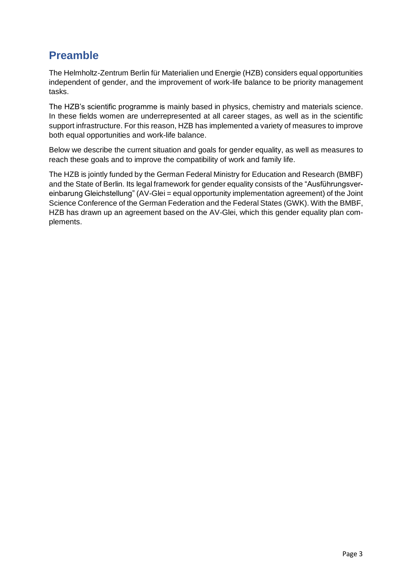# **Preamble**

The Helmholtz-Zentrum Berlin für Materialien und Energie (HZB) considers equal opportunities independent of gender, and the improvement of work-life balance to be priority management tasks.

The HZB's scientific programme is mainly based in physics, chemistry and materials science. In these fields women are underrepresented at all career stages, as well as in the scientific support infrastructure. For this reason, HZB has implemented a variety of measures to improve both equal opportunities and work-life balance.

Below we describe the current situation and goals for gender equality, as well as measures to reach these goals and to improve the compatibility of work and family life.

The HZB is jointly funded by the German Federal Ministry for Education and Research (BMBF) and the State of Berlin. Its legal framework for gender equality consists of the "Ausführungsvereinbarung Gleichstellung" (AV-Glei = equal opportunity implementation agreement) of the Joint Science Conference of the German Federation and the Federal States (GWK). With the BMBF, HZB has drawn up an agreement based on the AV-Glei, which this gender equality plan complements.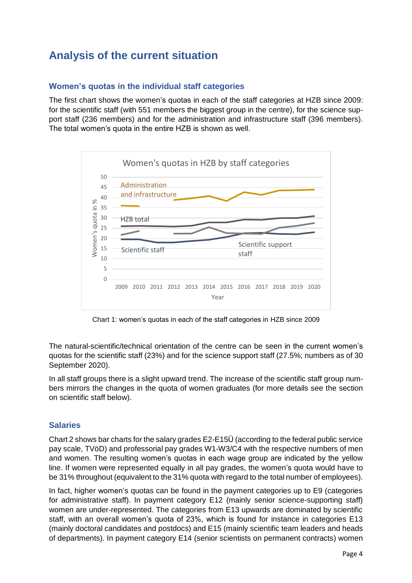# **Analysis of the current situation**

## **Women's quotas in the individual staff categories**

The first chart shows the women's quotas in each of the staff categories at HZB since 2009: for the scientific staff (with 551 members the biggest group in the centre), for the science support staff (236 members) and for the administration and infrastructure staff (396 members). The total women's quota in the entire HZB is shown as well.



Chart 1: women's quotas in each of the staff categories in HZB since 2009

The natural-scientific/technical orientation of the centre can be seen in the current women's quotas for the scientific staff (23%) and for the science support staff (27.5%; numbers as of 30 September 2020).

In all staff groups there is a slight upward trend. The increase of the scientific staff group numbers mirrors the changes in the quota of women graduates (for more details see the section on scientific staff below).

### **Salaries**

Chart 2 shows bar charts for the salary grades E2-E15Ü (according to the federal public service pay scale, TVöD) and professorial pay grades W1-W3/C4 with the respective numbers of men and women. The resulting women's quotas in each wage group are indicated by the yellow line. If women were represented equally in all pay grades, the women's quota would have to be 31% throughout (equivalent to the 31% quota with regard to the total number of employees).

In fact, higher women's quotas can be found in the payment categories up to E9 (categories for administrative staff). In payment category E12 (mainly senior science-supporting staff) women are under-represented. The categories from E13 upwards are dominated by scientific staff, with an overall women's quota of 23%, which is found for instance in categories E13 (mainly doctoral candidates and postdocs) and E15 (mainly scientific team leaders and heads of departments). In payment category E14 (senior scientists on permanent contracts) women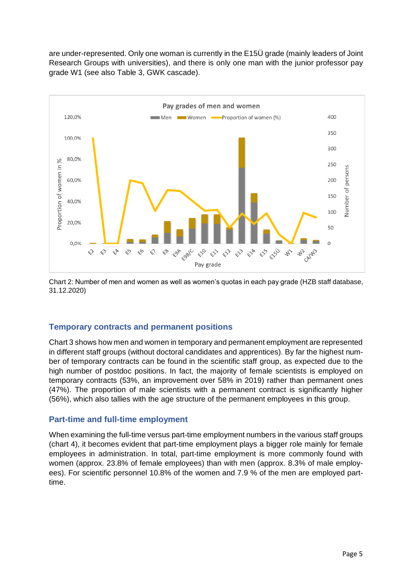are under-represented. Only one woman is currently in the E15Ü grade (mainly leaders of Joint Research Groups with universities), and there is only one man with the junior professor pay grade W1 (see also Table 3, GWK cascade).



Chart 2: Number of men and women as well as women's quotas in each pay grade (HZB staff database, 31.12.2020)

#### **Temporary contracts and permanent positions**

Chart 3 shows how men and women in temporary and permanent employment are represented in different staff groups (without doctoral candidates and apprentices). By far the highest number of temporary contracts can be found in the scientific staff group, as expected due to the high number of postdoc positions. In fact, the majority of female scientists is employed on temporary contracts (53%, an improvement over 58% in 2019) rather than permanent ones (47%). The proportion of male scientists with a permanent contract is significantly higher (56%), which also tallies with the age structure of the permanent employees in this group.

### **Part-time and full-time employment**

When examining the full-time versus part-time employment numbers in the various staff groups (chart 4), it becomes evident that part-time employment plays a bigger role mainly for female employees in administration. In total, part-time employment is more commonly found with women (approx. 23.8% of female employees) than with men (approx. 8.3% of male employees). For scientific personnel 10.8% of the women and 7.9 % of the men are employed parttime.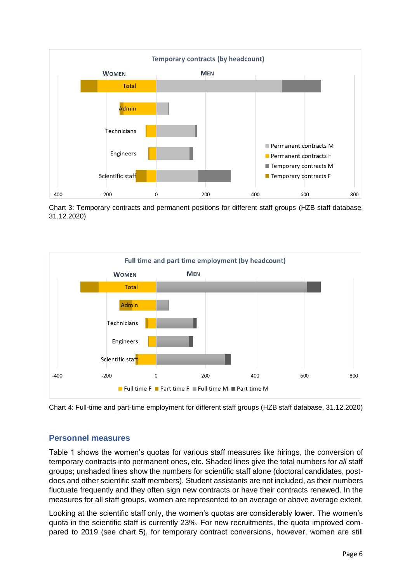

Chart 3: Temporary contracts and permanent positions for different staff groups (HZB staff database, 31.12.2020)



Chart 4: Full-time and part-time employment for different staff groups (HZB staff database, 31.12.2020)

### **Personnel measures**

Table 1 shows the women's quotas for various staff measures like hirings, the conversion of temporary contracts into permanent ones, etc. Shaded lines give the total numbers for *all* staff groups; unshaded lines show the numbers for scientific staff alone (doctoral candidates, postdocs and other scientific staff members). Student assistants are not included, as their numbers fluctuate frequently and they often sign new contracts or have their contracts renewed. In the measures for all staff groups, women are represented to an average or above average extent.

Looking at the scientific staff only, the women's quotas are considerably lower. The women's quota in the scientific staff is currently 23%. For new recruitments, the quota improved compared to 2019 (see chart 5), for temporary contract conversions, however, women are still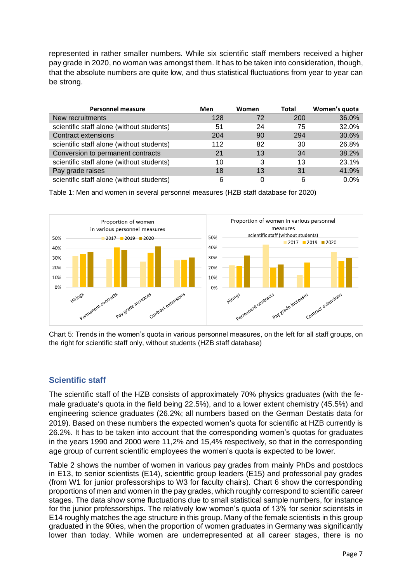represented in rather smaller numbers. While six scientific staff members received a higher pay grade in 2020, no woman was amongst them. It has to be taken into consideration, though, that the absolute numbers are quite low, and thus statistical fluctuations from year to year can be strong.

| <b>Personnel measure</b>                  | Men | Women | Total | Women's quota |
|-------------------------------------------|-----|-------|-------|---------------|
| New recruitments                          | 128 | 72    | 200   | 36.0%         |
| scientific staff alone (without students) | 51  | 24    | 75    | 32.0%         |
| <b>Contract extensions</b>                | 204 | 90    | 294   | 30.6%         |
| scientific staff alone (without students) | 112 | 82    | 30    | 26.8%         |
| Conversion to permanent contracts         | 21  | 13    | 34    | 38.2%         |
| scientific staff alone (without students) | 10  | 3     | 13    | 23.1%         |
| Pay grade raises                          | 18  | 13    | 31    | 41.9%         |
| scientific staff alone (without students) | 6   | 0     | 6     | $0.0\%$       |

Table 1: Men and women in several personnel measures (HZB staff database for 2020)



Chart 5: Trends in the women's quota in various personnel measures, on the left for all staff groups, on the right for scientific staff only, without students (HZB staff database)

## **Scientific staff**

The scientific staff of the HZB consists of approximately 70% physics graduates (with the female graduate's quota in the field being 22.5%), and to a lower extent chemistry (45.5%) and engineering science graduates (26.2%; all numbers based on the German Destatis data for 2019). Based on these numbers the expected women's quota for scientific at HZB currently is 26.2%. It has to be taken into account that the corresponding women's quotas for graduates in the years 1990 and 2000 were 11,2% and 15,4% respectively, so that in the corresponding age group of current scientific employees the women's quota is expected to be lower.

Table 2 shows the number of women in various pay grades from mainly PhDs and postdocs in E13, to senior scientists (E14), scientific group leaders (E15) and professorial pay grades (from W1 for junior professorships to W3 for faculty chairs). Chart 6 show the corresponding proportions of men and women in the pay grades, which roughly correspond to scientific career stages. The data show some fluctuations due to small statistical sample numbers, for instance for the junior professorships. The relatively low women's quota of 13% for senior scientists in E14 roughly matches the age structure in this group. Many of the female scientists in this group graduated in the 90ies, when the proportion of women graduates in Germany was significantly lower than today. While women are underrepresented at all career stages, there is no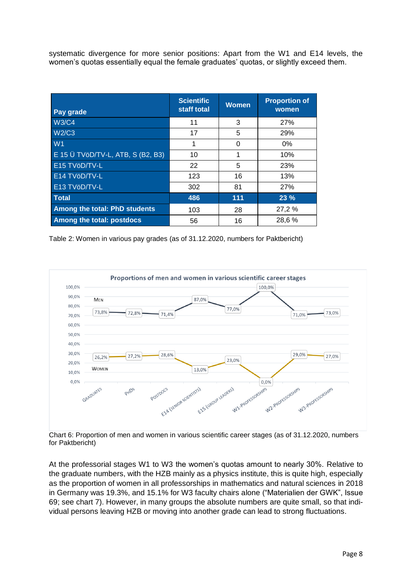systematic divergence for more senior positions: Apart from the W1 and E14 levels, the women's quotas essentially equal the female graduates' quotas, or slightly exceed them.

| Pay grade                                         | <b>Scientific</b><br>staff total | <b>Women</b> | <b>Proportion of</b><br>women |
|---------------------------------------------------|----------------------------------|--------------|-------------------------------|
| <b>W3/C4</b>                                      | 11                               | 3            | 27%                           |
| <b>W2/C3</b>                                      | 17                               | 5            | 29%                           |
| W <sub>1</sub>                                    | 1                                | 0            | $0\%$                         |
| E 15 $\ddot{\text{U}}$ TVöD/TV-L, ATB, S (B2, B3) | 10                               | 1            | 10%                           |
| E15 TVöD/TV-L                                     | 22                               | 5            | 23%                           |
| E14 TVöD/TV-L                                     | 123                              | 16           | 13%                           |
| E13 TVöD/TV-L                                     | 302                              | 81           | 27%                           |
| <b>Total</b>                                      | 486                              | 111          | 23%                           |
| <b>Among the total: PhD students</b>              | 103                              | 28           | 27,2 %                        |
| Among the total: postdocs                         | 56                               | 16           | 28,6%                         |

Table 2: Women in various pay grades (as of 31.12.2020, numbers for Paktbericht)



Chart 6: Proportion of men and women in various scientific career stages (as of 31.12.2020, numbers for Paktbericht)

At the professorial stages W1 to W3 the women's quotas amount to nearly 30%. Relative to the graduate numbers, with the HZB mainly as a physics institute, this is quite high, especially as the proportion of women in all professorships in mathematics and natural sciences in 2018 in Germany was 19.3%, and 15.1% for W3 faculty chairs alone ("Materialien der GWK", Issue 69; see chart 7). However, in many groups the absolute numbers are quite small, so that individual persons leaving HZB or moving into another grade can lead to strong fluctuations.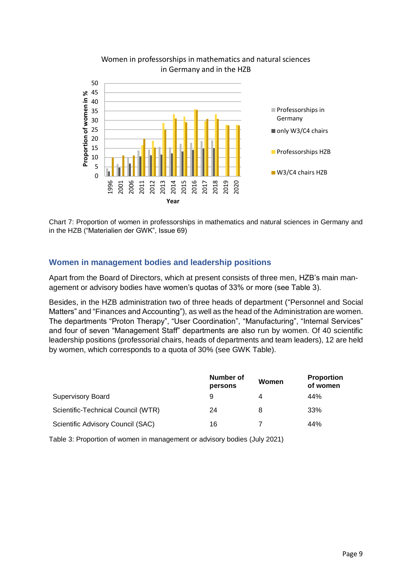

#### Women in professorships in mathematics and natural sciences in Germany and in the HZB

Chart 7: Proportion of women in professorships in mathematics and natural sciences in Germany and in the HZB ("Materialien der GWK", Issue 69)

### **Women in management bodies and leadership positions**

Apart from the Board of Directors, which at present consists of three men, HZB's main management or advisory bodies have women's quotas of 33% or more (see Table 3).

Besides, in the HZB administration two of three heads of department ("Personnel and Social Matters" and "Finances and Accounting"), as well as the head of the Administration are women. The departments "Proton Therapy", "User Coordination", "Manufacturing", "Internal Services" and four of seven "Management Staff" departments are also run by women. Of 40 scientific leadership positions (professorial chairs, heads of departments and team leaders), 12 are held by women, which corresponds to a quota of 30% (see GWK Table).

|                                    | Number of<br>persons | Women | <b>Proportion</b><br>of women |
|------------------------------------|----------------------|-------|-------------------------------|
| <b>Supervisory Board</b>           | 9                    | 4     | 44%                           |
| Scientific-Technical Council (WTR) | 24                   | 8     | 33%                           |
| Scientific Advisory Council (SAC)  | 16                   |       | 44%                           |

Table 3: Proportion of women in management or advisory bodies (July 2021)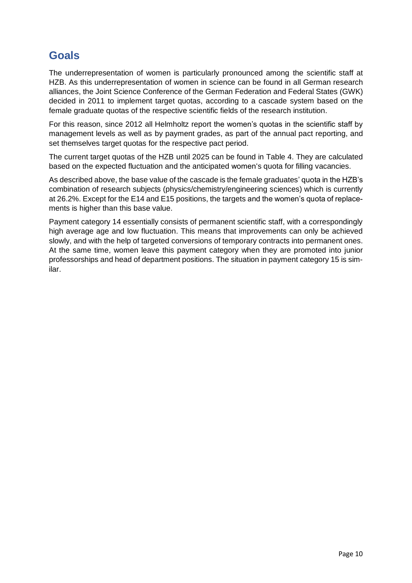# **Goals**

The underrepresentation of women is particularly pronounced among the scientific staff at HZB. As this underrepresentation of women in science can be found in all German research alliances, the Joint Science Conference of the German Federation and Federal States (GWK) decided in 2011 to implement target quotas, according to a cascade system based on the female graduate quotas of the respective scientific fields of the research institution.

For this reason, since 2012 all Helmholtz report the women's quotas in the scientific staff by management levels as well as by payment grades, as part of the annual pact reporting, and set themselves target quotas for the respective pact period.

The current target quotas of the HZB until 2025 can be found in Table 4. They are calculated based on the expected fluctuation and the anticipated women's quota for filling vacancies.

As described above, the base value of the cascade is the female graduates' quota in the HZB's combination of research subjects (physics/chemistry/engineering sciences) which is currently at 26.2%. Except for the E14 and E15 positions, the targets and the women's quota of replacements is higher than this base value.

Payment category 14 essentially consists of permanent scientific staff, with a correspondingly high average age and low fluctuation. This means that improvements can only be achieved slowly, and with the help of targeted conversions of temporary contracts into permanent ones. At the same time, women leave this payment category when they are promoted into junior professorships and head of department positions. The situation in payment category 15 is similar.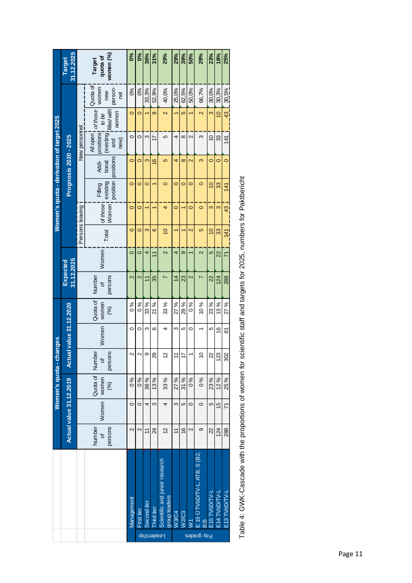|                                           | 31.12.2025<br><b>Target</b>    |  | women (%)<br>quota of<br>Target           | కి                                                | <b>0%</b>                     | 36%                    | 31%                     | 29%                                             | 29%                     | 39%            | 50%                     | 29%                               | 23%               | 18%               | 25%            |                |
|-------------------------------------------|--------------------------------|--|-------------------------------------------|---------------------------------------------------|-------------------------------|------------------------|-------------------------|-------------------------------------------------|-------------------------|----------------|-------------------------|-----------------------------------|-------------------|-------------------|----------------|----------------|
| Women's quota - derivation of target 2025 | Prognosis 2020 - 2025          |  | Quota of<br>women<br>person-<br>new<br>ē  | 0%                                                | 0%                            | 33,3%                  | 52,9%                   | 40,0%                                           | 25,0%                   | 62,5%          | 50,0%                   | 66,7%                             | 30,0%             | 30,3%             | 30,5%          |                |
|                                           |                                |  | of those<br>filled with<br>women<br>to be | 0                                                 | 0                             |                        | တ                       | $\overline{\mathsf{N}}$                         |                         | ю              |                         | $\mathbf{\Omega}$                 | 3                 | $\overline{0}$    | $\frac{3}{4}$  |                |
|                                           |                                |  | New personnel                             | positions<br>(existing<br>All open<br>new)<br>and | $\circ$                       | 0                      | ς                       | $\overline{1}$                                  | 5                       | 4              | $\infty$                | $\mathbf{\Omega}$                 | ω                 | $\overline{0}$    | 33             | 141            |
|                                           |                                |  | positions<br>Addi-<br>tional              | $\circ$                                           | 0                             | ω                      | $\frac{6}{5}$           | Ю                                               | 4                       | $\infty$       | $\overline{\mathsf{c}}$ | 3                                 | $\circ$           | $\circ$           | $\circ$        |                |
|                                           |                                |  | existing<br>position<br>Filling           | $\circ$                                           | O                             | $\circ$                |                         | 0                                               | $\circ$                 | 0              | 0                       | $\circ$                           | $\overline{0}$    | 33                | 141            |                |
|                                           |                                |  | of those<br><b>Women</b>                  | $\circ$                                           | o                             |                        |                         | 4                                               | 0                       |                | 0                       | 0                                 | 3                 | ო                 | $\frac{43}{5}$ |                |
|                                           |                                |  |                                           | Persons leaving                                   | Total                         | $\circ$                | 0                       | ო                                               | ဖ                       | $\frac{1}{2}$  |                         |                                   | $\mathbf{\Omega}$ | မ                 | $\overline{0}$ | 33             |
|                                           | 31.12.2025<br>Expected         |  |                                           | Women                                             | $\circ$                       | 0                      | 4                       | $\overline{1}$                                  | $\overline{\mathsf{c}}$ | 4              | တ                       |                                   | $\mathbf{\Omega}$ | 5                 | $\overline{2}$ | 71             |
|                                           |                                |  |                                           |                                                   |                               | persons<br>Number<br>đ | $\overline{\mathsf{c}}$ | $\mathbf{\Omega}$                               | $\overline{\tau}$       | 35             | N                       | $\overline{4}$                    | 23                | $\mathbf{\Omega}$ | r              | $\overline{2}$ |
|                                           | <b>Actual value 31.12.2020</b> |  |                                           | Quota of<br>women<br>(%)                          | $\frac{8}{6}$                 | $\frac{8}{6}$          | 33 %                    | 21 %                                            | 33 %                    | 27 %           | 29 %                    | $\delta$ 0                        | 10%               | 23 %              | 13%            | 27 %           |
|                                           |                                |  | Women                                     | 0                                                 | 0                             | ω                      | ဖ                       | 4                                               | ω                       | 5              | 0                       |                                   | Ю                 | 16                | ౚ              |                |
| Women's quota - changes                   |                                |  |                                           |                                                   | persons<br>Number<br>$\sigma$ | Ν                      | $\mathbf{\sim}$         | တ                                               | 29                      | 5              | $\tilde{t}$             | 17                                |                   | S                 | 22             | 123            |
|                                           | Actual value 31.12.2019        |  |                                           | Quota of<br>women<br>$\mathcal{E}$                | $\frac{6}{6}$                 | 0%                     | 36 %                    | 13%                                             | 33 %                    | 27 %           | 31 %                    | $\frac{6}{6}$                     | $\frac{6}{6}$     | 23 %              | 12%            | 25 %           |
|                                           |                                |  |                                           | Women                                             | $\circ$                       | 0                      | 4                       | ω                                               | 4                       | Ω              | 5                       | 0                                 | 0                 | 5                 | $\frac{5}{2}$  | 71             |
|                                           |                                |  |                                           | persons<br>Number<br>đ                            | $\mathbf{\Omega}$             | $\mathbf{\Omega}$      | $\overline{1}$          | 24                                              | 51                      | $\overline{1}$ | $\tilde{e}$             | 2                                 | တ                 | 22                | 124            | 288            |
|                                           |                                |  |                                           | Management                                        | First tier                    | Second tier            | Third tier              | Scientific and junior research<br>group leaders | <b>W3/C4</b>            | <b>W2/C3</b>   |                         | $E$ 15 $U$ TVöD/TV-L, ATB, S (B2, | E15 TVöD/TV-L     | E14 TVöD/TV-L     | E13 TVöD/TV-L  |                |
|                                           |                                |  |                                           |                                                   |                               | <b>Leadership</b>      |                         |                                                 |                         |                | $\geq$                  | B3)<br>Pay grades                 |                   |                   |                |                |

Table 4: GWK-Cascade with the proportions of women for scientific staff and targets for 2025, numbers for Paktbericht Table 4: GWK-Cascade with the proportions of women for scientific staff and targets for 2025, numbers for Paktbericht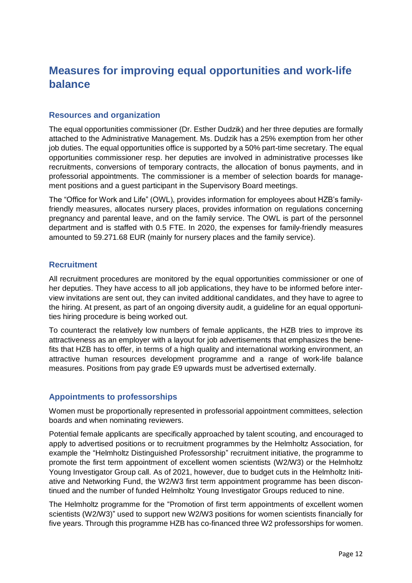# **Measures for improving equal opportunities and work-life balance**

### **Resources and organization**

The equal opportunities commissioner (Dr. Esther Dudzik) and her three deputies are formally attached to the Administrative Management. Ms. Dudzik has a 25% exemption from her other job duties. The equal opportunities office is supported by a 50% part-time secretary. The equal opportunities commissioner resp. her deputies are involved in administrative processes like recruitments, conversions of temporary contracts, the allocation of bonus payments, and in professorial appointments. The commissioner is a member of selection boards for management positions and a guest participant in the Supervisory Board meetings.

The "Office for Work and Life" (OWL), provides information for employees about HZB's familyfriendly measures, allocates nursery places, provides information on regulations concerning pregnancy and parental leave, and on the family service. The OWL is part of the personnel department and is staffed with 0.5 FTE. In 2020, the expenses for family-friendly measures amounted to 59.271.68 EUR (mainly for nursery places and the family service).

#### **Recruitment**

All recruitment procedures are monitored by the equal opportunities commissioner or one of her deputies. They have access to all job applications, they have to be informed before interview invitations are sent out, they can invited additional candidates, and they have to agree to the hiring. At present, as part of an ongoing diversity audit, a guideline for an equal opportunities hiring procedure is being worked out.

To counteract the relatively low numbers of female applicants, the HZB tries to improve its attractiveness as an employer with a layout for job advertisements that emphasizes the benefits that HZB has to offer, in terms of a high quality and international working environment, an attractive human resources development programme and a range of work-life balance measures. Positions from pay grade E9 upwards must be advertised externally.

### **Appointments to professorships**

Women must be proportionally represented in professorial appointment committees, selection boards and when nominating reviewers.

Potential female applicants are specifically approached by talent scouting, and encouraged to apply to advertised positions or to recruitment programmes by the Helmholtz Association, for example the "Helmholtz Distinguished Professorship" recruitment initiative, the programme to promote the first term appointment of excellent women scientists (W2/W3) or the Helmholtz Young Investigator Group call. As of 2021, however, due to budget cuts in the Helmholtz Initiative and Networking Fund, the W2/W3 first term appointment programme has been discontinued and the number of funded Helmholtz Young Investigator Groups reduced to nine.

The Helmholtz programme for the "Promotion of first term appointments of excellent women scientists (W2/W3)" used to support new W2/W3 positions for women scientists financially for five years. Through this programme HZB has co-financed three W2 professorships for women.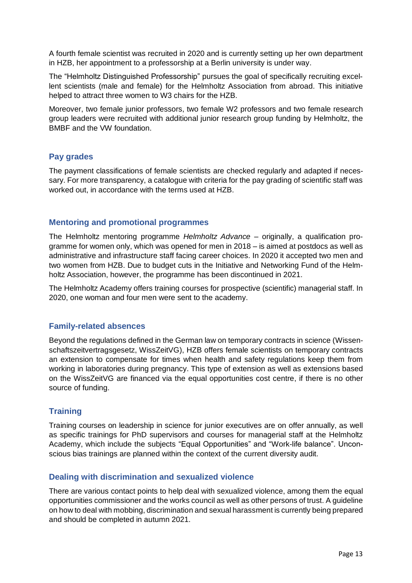A fourth female scientist was recruited in 2020 and is currently setting up her own department in HZB, her appointment to a professorship at a Berlin university is under way.

The "Helmholtz Distinguished Professorship" pursues the goal of specifically recruiting excellent scientists (male and female) for the Helmholtz Association from abroad. This initiative helped to attract three women to W3 chairs for the HZB.

Moreover, two female junior professors, two female W2 professors and two female research group leaders were recruited with additional junior research group funding by Helmholtz, the BMBF and the VW foundation.

### **Pay grades**

The payment classifications of female scientists are checked regularly and adapted if necessary. For more transparency, a catalogue with criteria for the pay grading of scientific staff was worked out, in accordance with the terms used at HZB.

#### **Mentoring and promotional programmes**

The Helmholtz mentoring programme *Helmholtz Advance* – originally, a qualification programme for women only, which was opened for men in 2018 – is aimed at postdocs as well as administrative and infrastructure staff facing career choices. In 2020 it accepted two men and two women from HZB. Due to budget cuts in the Initiative and Networking Fund of the Helmholtz Association, however, the programme has been discontinued in 2021.

The Helmholtz Academy offers training courses for prospective (scientific) managerial staff. In 2020, one woman and four men were sent to the academy.

### **Family-related absences**

Beyond the regulations defined in the German law on temporary contracts in science (Wissenschaftszeitvertragsgesetz, WissZeitVG), HZB offers female scientists on temporary contracts an extension to compensate for times when health and safety regulations keep them from working in laboratories during pregnancy. This type of extension as well as extensions based on the WissZeitVG are financed via the equal opportunities cost centre, if there is no other source of funding.

### **Training**

Training courses on leadership in science for junior executives are on offer annually, as well as specific trainings for PhD supervisors and courses for managerial staff at the Helmholtz Academy, which include the subjects "Equal Opportunities" and "Work-life balance". Unconscious bias trainings are planned within the context of the current diversity audit.

### **Dealing with discrimination and sexualized violence**

There are various contact points to help deal with sexualized violence, among them the equal opportunities commissioner and the works council as well as other persons of trust. A guideline on how to deal with mobbing, discrimination and sexual harassment is currently being prepared and should be completed in autumn 2021.